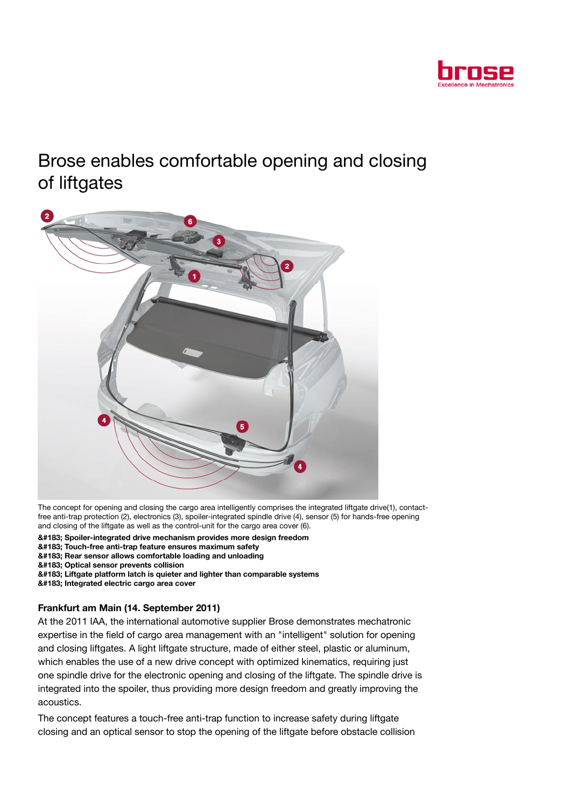

# Brose enables comfortable opening and closing of liftgates



The concept for opening and closing the cargo area intelligently comprises the integrated liftgate drive(1), contactfree anti-trap protection (2), electronics (3), spoiler-integrated spindle drive (4), sensor (5) for hands-free opening and closing of the liftgate as well as the control-unit for the cargo area cover (6).

· Spoiler-integrated drive mechanism provides more design freedom

- · Touch-free anti-trap feature ensures maximum safety
- · Rear sensor allows comfortable loading and unloading
- &#183: Optical sensor prevents collision

· Liftgate platform latch is quieter and lighter than comparable systems

· Integrated electric cargo area cover

### Frankfurt am Main (14. September 2011)

At the 2011 IAA, the international automotive supplier Brose demonstrates mechatronic expertise in the field of cargo area management with an "intelligent" solution for opening and closing liftgates. A light liftgate structure, made of either steel, plastic or aluminum, which enables the use of a new drive concept with optimized kinematics, requiring just one spindle drive for the electronic opening and closing of the liftgate. The spindle drive is integrated into the spoiler, thus providing more design freedom and greatly improving the acoustics.

The concept features a touch-free anti-trap function to increase safety during liftgate closing and an optical sensor to stop the opening of the liftgate before obstacle collision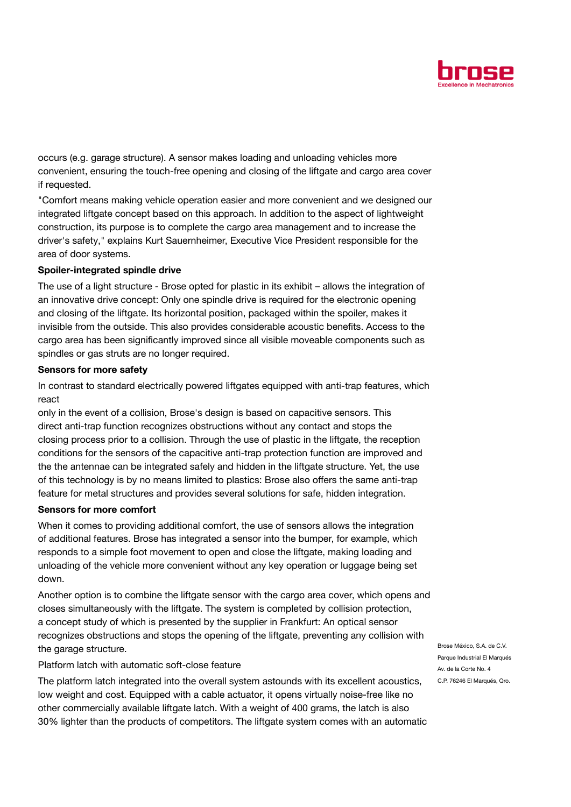

occurs (e.g. garage structure). A sensor makes loading and unloading vehicles more convenient, ensuring the touch-free opening and closing of the liftgate and cargo area cover if requested.

"Comfort means making vehicle operation easier and more convenient and we designed our integrated liftgate concept based on this approach. In addition to the aspect of lightweight construction, its purpose is to complete the cargo area management and to increase the driver's safety," explains Kurt Sauernheimer, Executive Vice President responsible for the area of door systems.

## Spoiler-integrated spindle drive

The use of a light structure - Brose opted for plastic in its exhibit – allows the integration of an innovative drive concept: Only one spindle drive is required for the electronic opening and closing of the liftgate. Its horizontal position, packaged within the spoiler, makes it invisible from the outside. This also provides considerable acoustic benefits. Access to the cargo area has been significantly improved since all visible moveable components such as spindles or gas struts are no longer required.

### Sensors for more safety

In contrast to standard electrically powered liftgates equipped with anti-trap features, which react

only in the event of a collision, Brose's design is based on capacitive sensors. This direct anti-trap function recognizes obstructions without any contact and stops the closing process prior to a collision. Through the use of plastic in the liftgate, the reception conditions for the sensors of the capacitive anti-trap protection function are improved and the the antennae can be integrated safely and hidden in the liftgate structure. Yet, the use of this technology is by no means limited to plastics: Brose also offers the same anti-trap feature for metal structures and provides several solutions for safe, hidden integration.

### Sensors for more comfort

When it comes to providing additional comfort, the use of sensors allows the integration of additional features. Brose has integrated a sensor into the bumper, for example, which responds to a simple foot movement to open and close the liftgate, making loading and unloading of the vehicle more convenient without any key operation or luggage being set down.

Another option is to combine the liftgate sensor with the cargo area cover, which opens and closes simultaneously with the liftgate. The system is completed by collision protection, a concept study of which is presented by the supplier in Frankfurt: An optical sensor recognizes obstructions and stops the opening of the liftgate, preventing any collision with the garage structure.

Platform latch with automatic soft-close feature

The platform latch integrated into the overall system astounds with its excellent acoustics, low weight and cost. Equipped with a cable actuator, it opens virtually noise-free like no other commercially available liftgate latch. With a weight of 400 grams, the latch is also 30% lighter than the products of competitors. The liftgate system comes with an automatic

Brose México, S.A. de C.V. Parque Industrial El Marqués Av. de la Corte No. 4 C.P. 76246 El Marqués, Qro.